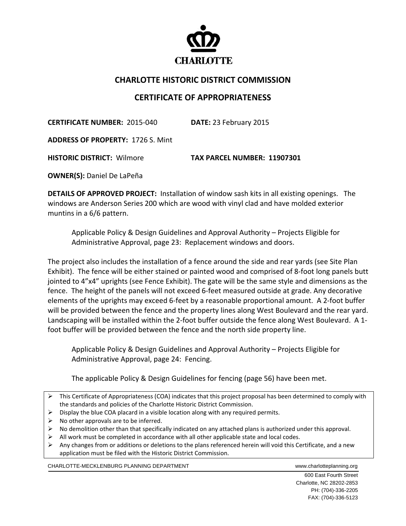

## **CHARLOTTE HISTORIC DISTRICT COMMISSION**

## **CERTIFICATE OF APPROPRIATENESS**

**CERTIFICATE NUMBER:** 2015‐040 **DATE:** 23 February 2015

**ADDRESS OF PROPERTY:** 1726 S. Mint 

**HISTORIC DISTRICT:** Wilmore **TAX PARCEL NUMBER: 11907301**

**OWNER(S):** Daniel De LaPeña

**DETAILS OF APPROVED PROJECT:** Installation of window sash kits in all existing openings. The windows are Anderson Series 200 which are wood with vinyl clad and have molded exterior muntins in a 6/6 pattern.

Applicable Policy & Design Guidelines and Approval Authority – Projects Eligible for Administrative Approval, page 23: Replacement windows and doors.

The project also includes the installation of a fence around the side and rear yards (see Site Plan Exhibit). The fence will be either stained or painted wood and comprised of 8‐foot long panels butt jointed to 4"x4" uprights (see Fence Exhibit). The gate will be the same style and dimensions as the fence. The height of the panels will not exceed 6-feet measured outside at grade. Any decorative elements of the uprights may exceed 6‐feet by a reasonable proportional amount. A 2‐foot buffer will be provided between the fence and the property lines along West Boulevard and the rear yard. Landscaping will be installed within the 2-foot buffer outside the fence along West Boulevard. A 1foot buffer will be provided between the fence and the north side property line.

Applicable Policy & Design Guidelines and Approval Authority – Projects Eligible for Administrative Approval, page 24: Fencing.

The applicable Policy & Design Guidelines for fencing (page 56) have been met.

- This Certificate of Appropriateness (COA) indicates that this project proposal has been determined to comply with the standards and policies of the Charlotte Historic District Commission.
- $\triangleright$  Display the blue COA placard in a visible location along with any required permits.
- $\triangleright$  No other approvals are to be inferred.
- $\triangleright$  No demolition other than that specifically indicated on any attached plans is authorized under this approval.
- $\triangleright$  All work must be completed in accordance with all other applicable state and local codes.
- $\triangleright$  Any changes from or additions or deletions to the plans referenced herein will void this Certificate, and a new application must be filed with the Historic District Commission.

CHARLOTTE-MECKLENBURG PLANNING DEPARTMENT WWW.charlotteplanning.org

 600 East Fourth Street Charlotte, NC 28202-2853 PH: (704)-336-2205 FAX: (704)-336-5123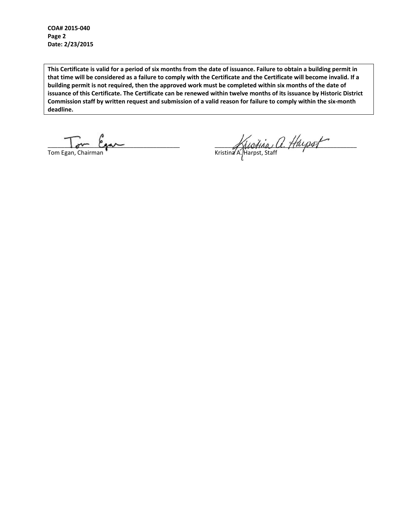**COA# 2015‐040 Page 2 Date: 2/23/2015**

This Certificate is valid for a period of six months from the date of issuance. Failure to obtain a building permit in that time will be considered as a failure to comply with the Certificate and the Certificate will become invalid. If a building permit is not required, then the approved work must be completed within six months of the date of issuance of this Certificate. The Certificate can be renewed within twelve months of its issuance by Historic District Commission staff by written request and submission of a valid reason for failure to comply within the six-month **deadline.**

 $\overline{\phantom{a}}$ 

\_\_\_\_\_\_\_\_\_\_\_\_\_\_\_\_\_\_\_\_\_\_\_\_\_\_\_\_\_\_\_\_\_\_\_\_\_\_\_\_ \_\_\_\_\_\_\_\_\_\_\_\_\_\_\_\_\_\_\_\_\_\_\_\_\_\_\_\_\_\_\_\_\_\_\_\_\_\_\_\_\_\_\_ Tom Egan, Chairman **The Chairman and The Chairman** Kristina A. Harpst, Staff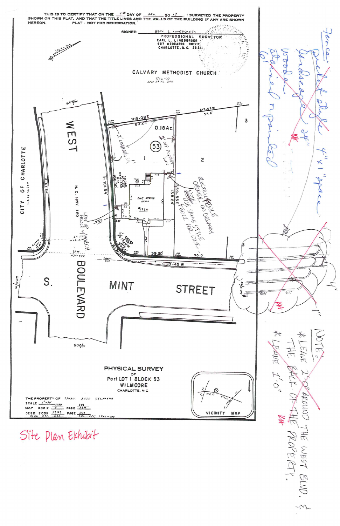

Site Plan Exhibit